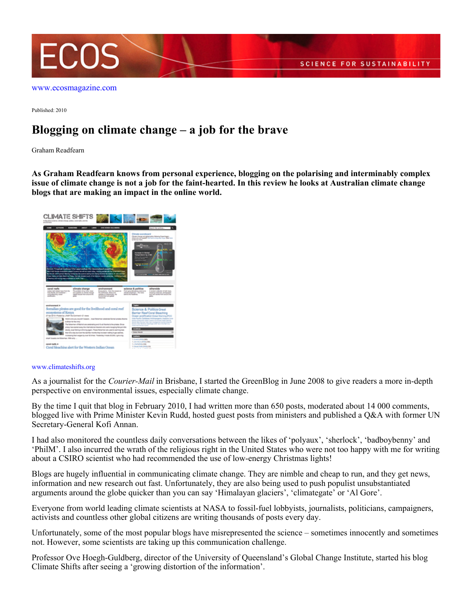

Published: 2010

## **Blogging on climate change – a job for the brave**

Graham Readfearn

**As Graham Readfearn knows from personal experience, blogging on the polarising and interminably complex issue of climate change is not a job for the faint-hearted. In this review he looks at Australian climate change blogs that are making an impact in the online world.**



## [www.climateshifts.org](http://www.climateshifts.org)

As a journalist for the *Courier-Mail* in Brisbane, I started the GreenBlog in June 2008 to give readers a more in-depth perspective on environmental issues, especially climate change.

By the time I quit that blog in February 2010, I had written more than 650 posts, moderated about 14 000 comments, blogged live with Prime Minister Kevin Rudd, hosted guest posts from ministers and published a Q&A with former UN Secretary-General Kofi Annan.

I had also monitored the countless daily conversations between the likes of 'polyaux', 'sherlock', 'badboybenny' and 'PhilM'. I also incurred the wrath of the religious right in the United States who were not too happy with me for writing about a CSIRO scientist who had recommended the use of low-energy Christmas lights!

Blogs are hugely influential in communicating climate change. They are nimble and cheap to run, and they get news, information and new research out fast. Unfortunately, they are also being used to push populist unsubstantiated arguments around the globe quicker than you can say 'Himalayan glaciers', 'climategate' or 'Al Gore'.

Everyone from world leading climate scientists at NASA to fossil-fuel lobbyists, journalists, politicians, campaigners, activists and countless other global citizens are writing thousands of posts every day.

Unfortunately, some of the most popular blogs have misrepresented the science – sometimes innocently and sometimes not. However, some scientists are taking up this communication challenge.

Professor Ove Hoegh-Guldberg, director of the University of Queensland's Global Change Institute, started his blog Climate Shifts after seeing a 'growing distortion of the information'.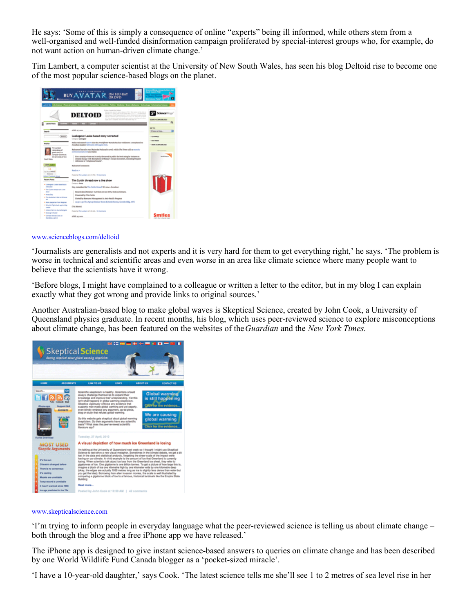He says: 'Some of this is simply a consequence of online "experts" being ill informed, while others stem from a well-organised and well-funded disinformation campaign proliferated by special-interest groups who, for example, do not want action on human-driven climate change.'

Tim Lambert, a computer scientist at the University of New South Wales, has seen his blog Deltoid rise to become one of the most popular science-based blogs on the planet.



## [www.scienceblogs.com/deltoid](http://www.scienceblogs.com/deltoid)

'Journalists are generalists and not experts and it is very hard for them to get everything right,' he says. 'The problem is worse in technical and scientific areas and even worse in an area like climate science where many people want to believe that the scientists have it wrong.

'Before blogs, I might have complained to a colleague or written a letter to the editor, but in my blog I can explain exactly what they got wrong and provide links to original sources.'

Another Australian-based blog to make global waves is Skeptical Science, created by John Cook, a University of Queensland physics graduate. In recent months, his blog, which uses peer-reviewed science to explore misconceptions about climate change, has been featured on the websites of the *Guardian* and the *New York Times*.



## [www.skepticalscience.com](http://www.skepticalscience.com)

'I'm trying to inform people in everyday language what the peer-reviewed science is telling us about climate change – both through the blog and a free iPhone app we have released.'

The iPhone app is designed to give instant science-based answers to queries on climate change and has been described by one World Wildlife Fund Canada blogger as a 'pocket-sized miracle'.

'I have a 10-year-old daughter,' says Cook. 'The latest science tells me she'll see 1 to 2 metres of sea level rise in her